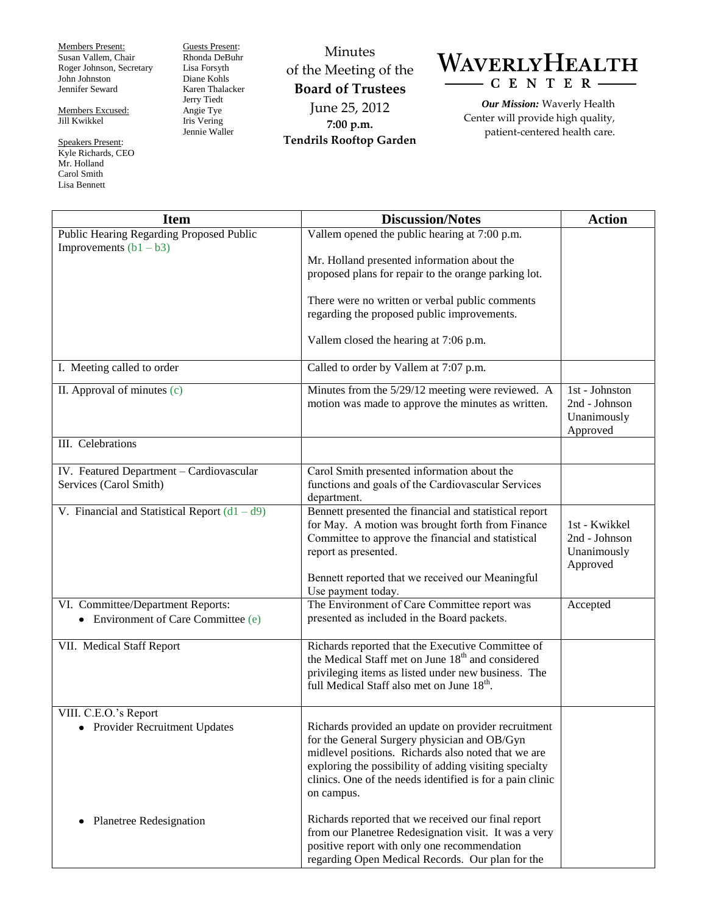Members Present: Susan Vallem, Chair Roger Johnson, Secretary John Johnston Jennifer Seward

Members Excused: Jill Kwikkel

Speakers Present: Kyle Richards, CEO Mr. Holland Carol Smith Lisa Bennett

Guests Present: Rhonda DeBuhr Lisa Forsyth Diane Kohls Karen Thalacker Jerry Tiedt Angie Tye Iris Vering Jennie Waller

Minutes of the Meeting of the **Board of Trustees** June 25, 2012 **7:00 p.m. Tendrils Rooftop Garden**



*Our Mission:* Waverly Health Center will provide high quality, patient-centered health care.

| <b>Item</b>                                     | <b>Discussion/Notes</b>                                                                                       | <b>Action</b>           |
|-------------------------------------------------|---------------------------------------------------------------------------------------------------------------|-------------------------|
| Public Hearing Regarding Proposed Public        | Vallem opened the public hearing $\overline{at}$ 7:00 p.m.                                                    |                         |
| Improvements $(b1 - b3)$                        |                                                                                                               |                         |
|                                                 | Mr. Holland presented information about the<br>proposed plans for repair to the orange parking lot.           |                         |
|                                                 |                                                                                                               |                         |
|                                                 | There were no written or verbal public comments                                                               |                         |
|                                                 | regarding the proposed public improvements.                                                                   |                         |
|                                                 | Vallem closed the hearing at 7:06 p.m.                                                                        |                         |
|                                                 |                                                                                                               |                         |
| I. Meeting called to order                      | Called to order by Vallem at 7:07 p.m.                                                                        |                         |
| II. Approval of minutes (c)                     | Minutes from the 5/29/12 meeting were reviewed. A                                                             | 1st - Johnston          |
|                                                 | motion was made to approve the minutes as written.                                                            | 2nd - Johnson           |
|                                                 |                                                                                                               | Unanimously<br>Approved |
| III. Celebrations                               |                                                                                                               |                         |
|                                                 |                                                                                                               |                         |
| IV. Featured Department - Cardiovascular        | Carol Smith presented information about the                                                                   |                         |
| Services (Carol Smith)                          | functions and goals of the Cardiovascular Services<br>department.                                             |                         |
| V. Financial and Statistical Report $(d1 - d9)$ | Bennett presented the financial and statistical report                                                        |                         |
|                                                 | for May. A motion was brought forth from Finance                                                              | 1st - Kwikkel           |
|                                                 | Committee to approve the financial and statistical                                                            | 2nd - Johnson           |
|                                                 | report as presented.                                                                                          | Unanimously<br>Approved |
|                                                 | Bennett reported that we received our Meaningful                                                              |                         |
|                                                 | Use payment today.                                                                                            |                         |
| VI. Committee/Department Reports:               | The Environment of Care Committee report was                                                                  | Accepted                |
| • Environment of Care Committee $(e)$           | presented as included in the Board packets.                                                                   |                         |
| VII. Medical Staff Report                       | Richards reported that the Executive Committee of                                                             |                         |
|                                                 | the Medical Staff met on June 18 <sup>th</sup> and considered                                                 |                         |
|                                                 | privileging items as listed under new business. The<br>full Medical Staff also met on June 18 <sup>th</sup> . |                         |
|                                                 |                                                                                                               |                         |
| VIII. C.E.O.'s Report                           |                                                                                                               |                         |
| • Provider Recruitment Updates                  | Richards provided an update on provider recruitment                                                           |                         |
|                                                 | for the General Surgery physician and OB/Gyn<br>midlevel positions. Richards also noted that we are           |                         |
|                                                 | exploring the possibility of adding visiting specialty                                                        |                         |
|                                                 | clinics. One of the needs identified is for a pain clinic                                                     |                         |
|                                                 | on campus.                                                                                                    |                         |
| Planetree Redesignation                         | Richards reported that we received our final report                                                           |                         |
|                                                 | from our Planetree Redesignation visit. It was a very                                                         |                         |
|                                                 | positive report with only one recommendation                                                                  |                         |
|                                                 | regarding Open Medical Records. Our plan for the                                                              |                         |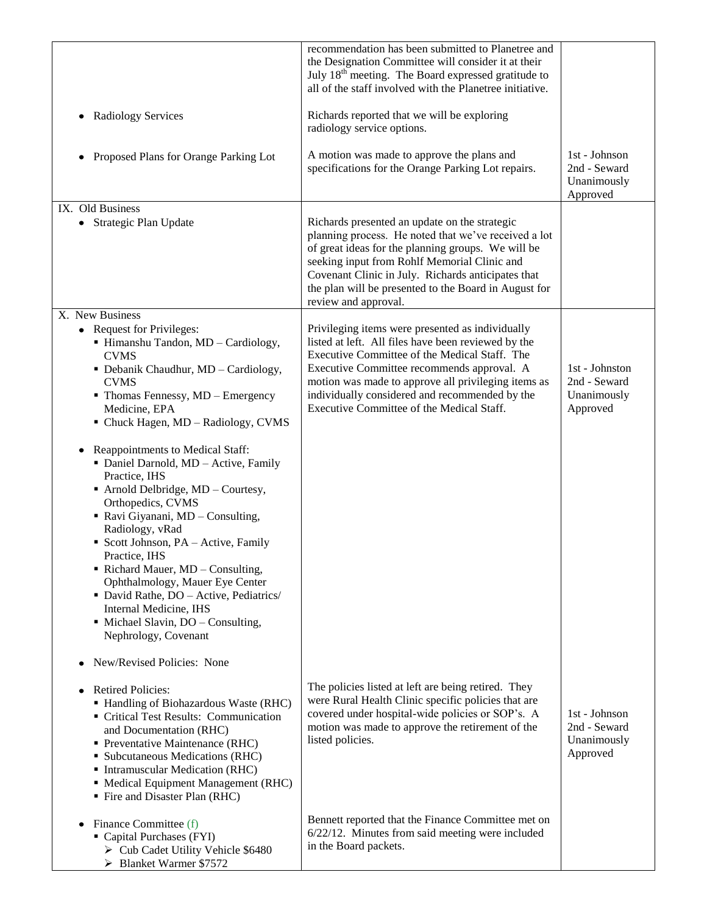| <b>Radiology Services</b><br>٠<br>Proposed Plans for Orange Parking Lot<br>$\bullet$                                                                                                                                                                                                                                                                                                                                                                                                                                                                                                                                                                                                                                                                                                      | recommendation has been submitted to Planetree and<br>the Designation Committee will consider it at their<br>July 18 <sup>th</sup> meeting. The Board expressed gratitude to<br>all of the staff involved with the Planetree initiative.<br>Richards reported that we will be exploring<br>radiology service options.<br>A motion was made to approve the plans and<br>specifications for the Orange Parking Lot repairs. | 1st - Johnson<br>2nd - Seward<br>Unanimously<br>Approved  |
|-------------------------------------------------------------------------------------------------------------------------------------------------------------------------------------------------------------------------------------------------------------------------------------------------------------------------------------------------------------------------------------------------------------------------------------------------------------------------------------------------------------------------------------------------------------------------------------------------------------------------------------------------------------------------------------------------------------------------------------------------------------------------------------------|---------------------------------------------------------------------------------------------------------------------------------------------------------------------------------------------------------------------------------------------------------------------------------------------------------------------------------------------------------------------------------------------------------------------------|-----------------------------------------------------------|
| IX. Old Business<br>Strategic Plan Update                                                                                                                                                                                                                                                                                                                                                                                                                                                                                                                                                                                                                                                                                                                                                 | Richards presented an update on the strategic<br>planning process. He noted that we've received a lot<br>of great ideas for the planning groups. We will be<br>seeking input from Rohlf Memorial Clinic and<br>Covenant Clinic in July. Richards anticipates that<br>the plan will be presented to the Board in August for<br>review and approval.                                                                        |                                                           |
| X. New Business<br>• Request for Privileges:<br>• Himanshu Tandon, MD - Cardiology,<br><b>CVMS</b><br>• Debanik Chaudhur, MD - Cardiology,<br><b>CVMS</b><br>$\blacksquare$ Thomas Fennessy, MD – Emergency<br>Medicine, EPA<br>• Chuck Hagen, MD - Radiology, CVMS<br>Reappointments to Medical Staff:<br>• Daniel Darnold, MD - Active, Family<br>Practice, IHS<br>• Arnold Delbridge, MD - Courtesy,<br>Orthopedics, CVMS<br>• Ravi Giyanani, MD - Consulting,<br>Radiology, vRad<br>Scott Johnson, PA - Active, Family<br>Practice, IHS<br>• Richard Mauer, MD – Consulting,<br>Ophthalmology, Mauer Eye Center<br>• David Rathe, DO - Active, Pediatrics/<br>Internal Medicine, IHS<br>• Michael Slavin, DO – Consulting,<br>Nephrology, Covenant<br>New/Revised Policies: None<br>٠ | Privileging items were presented as individually<br>listed at left. All files have been reviewed by the<br>Executive Committee of the Medical Staff. The<br>Executive Committee recommends approval. A<br>motion was made to approve all privileging items as<br>individually considered and recommended by the<br>Executive Committee of the Medical Staff.                                                              | 1st - Johnston<br>2nd - Seward<br>Unanimously<br>Approved |
| <b>Retired Policies:</b><br>$\bullet$<br>Handling of Biohazardous Waste (RHC)<br>Critical Test Results: Communication<br>and Documentation (RHC)<br>• Preventative Maintenance (RHC)<br>• Subcutaneous Medications (RHC)<br>• Intramuscular Medication (RHC)<br>• Medical Equipment Management (RHC)<br>• Fire and Disaster Plan (RHC)                                                                                                                                                                                                                                                                                                                                                                                                                                                    | The policies listed at left are being retired. They<br>were Rural Health Clinic specific policies that are<br>covered under hospital-wide policies or SOP's. A<br>motion was made to approve the retirement of the<br>listed policies.                                                                                                                                                                                    | 1st - Johnson<br>2nd - Seward<br>Unanimously<br>Approved  |
| Finance Committee (f)<br>Capital Purchases (FYI)<br>> Cub Cadet Utility Vehicle \$6480<br>> Blanket Warmer \$7572                                                                                                                                                                                                                                                                                                                                                                                                                                                                                                                                                                                                                                                                         | Bennett reported that the Finance Committee met on<br>6/22/12. Minutes from said meeting were included<br>in the Board packets.                                                                                                                                                                                                                                                                                           |                                                           |